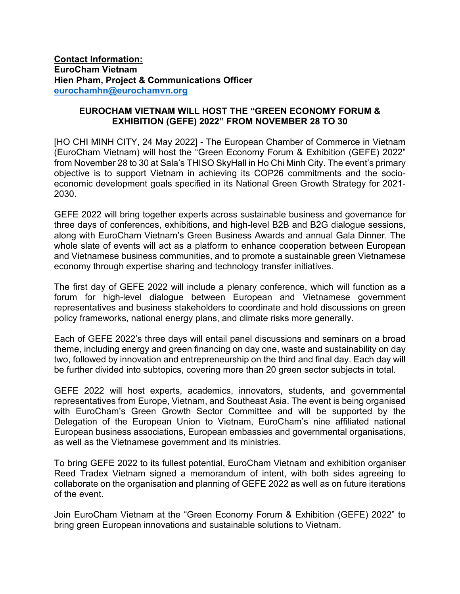**Contact Information: EuroCham Vietnam Hien Pham, Project & Communications Officer [eurochamhn@eurochamvn.org](mailto:eurochamhn@eurochamvn.org)**

## **EUROCHAM VIETNAM WILL HOST THE "GREEN ECONOMY FORUM & EXHIBITION (GEFE) 2022" FROM NOVEMBER 28 TO 30**

[HO CHI MINH CITY, 24 May 2022] - The European Chamber of Commerce in Vietnam (EuroCham Vietnam) will host the "Green Economy Forum & Exhibition (GEFE) 2022" from November 28 to 30 at Sala's THISO SkyHall in Ho Chi Minh City. The event's primary objective is to support Vietnam in achieving its COP26 commitments and the socioeconomic development goals specified in its National Green Growth Strategy for 2021- 2030.

GEFE 2022 will bring together experts across sustainable business and governance for three days of conferences, exhibitions, and high-level B2B and B2G dialogue sessions, along with EuroCham Vietnam's Green Business Awards and annual Gala Dinner. The whole slate of events will act as a platform to enhance cooperation between European and Vietnamese business communities, and to promote a sustainable green Vietnamese economy through expertise sharing and technology transfer initiatives.

The first day of GEFE 2022 will include a plenary conference, which will function as a forum for high-level dialogue between European and Vietnamese government representatives and business stakeholders to coordinate and hold discussions on green policy frameworks, national energy plans, and climate risks more generally.

Each of GEFE 2022's three days will entail panel discussions and seminars on a broad theme, including energy and green financing on day one, waste and sustainability on day two, followed by innovation and entrepreneurship on the third and final day. Each day will be further divided into subtopics, covering more than 20 green sector subjects in total.

GEFE 2022 will host experts, academics, innovators, students, and governmental representatives from Europe, Vietnam, and Southeast Asia. The event is being organised with EuroCham's Green Growth Sector Committee and will be supported by the Delegation of the European Union to Vietnam, EuroCham's nine affiliated national European business associations, European embassies and governmental organisations, as well as the Vietnamese government and its ministries.

To bring GEFE 2022 to its fullest potential, EuroCham Vietnam and exhibition organiser Reed Tradex Vietnam signed a memorandum of intent, with both sides agreeing to collaborate on the organisation and planning of GEFE 2022 as well as on future iterations of the event.

Join EuroCham Vietnam at the "Green Economy Forum & Exhibition (GEFE) 2022" to bring green European innovations and sustainable solutions to Vietnam.